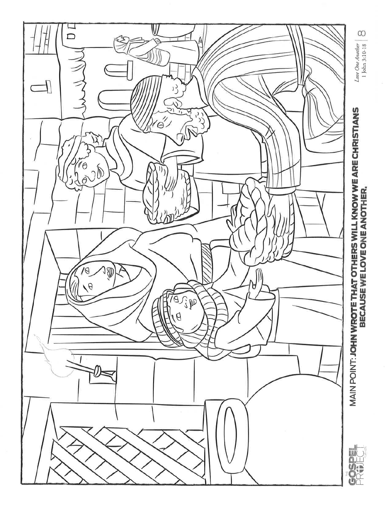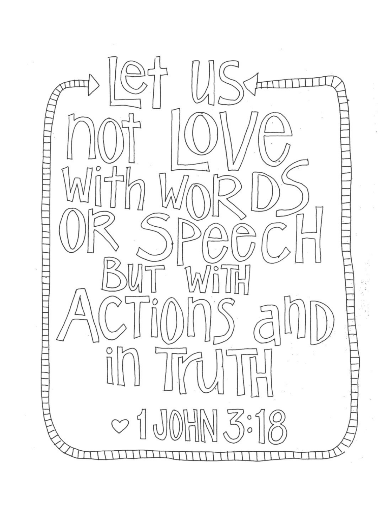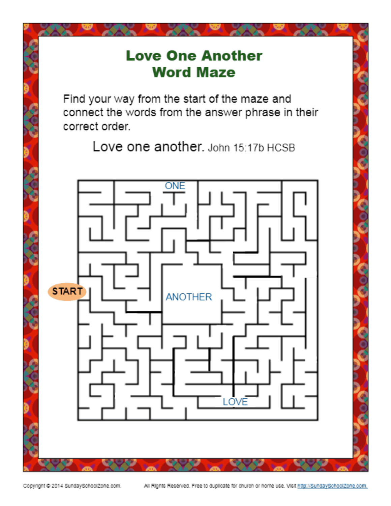